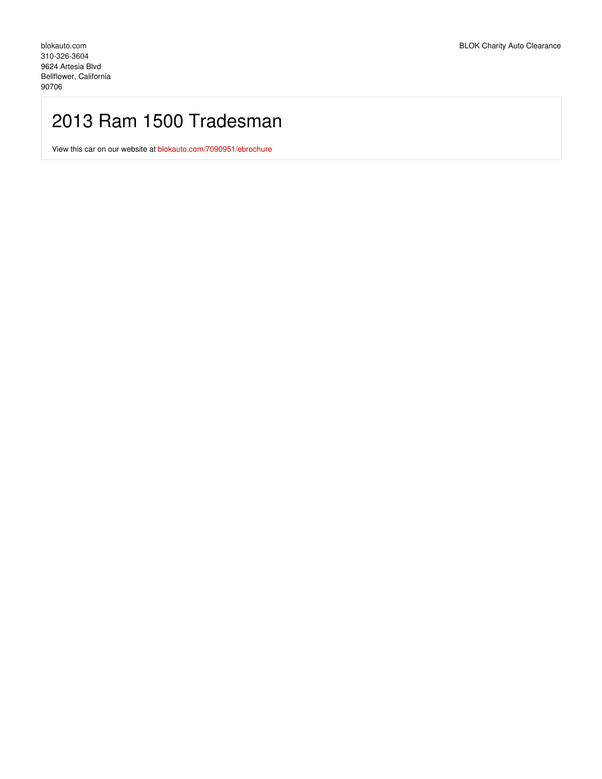# 2013 Ram 1500 Tradesman

View this car on our website at [blokauto.com/7090951/ebrochure](https://blokauto.com/vehicle/7090951/2013-ram-1500-tradesman-bellflower-california-90706/7090951/ebrochure)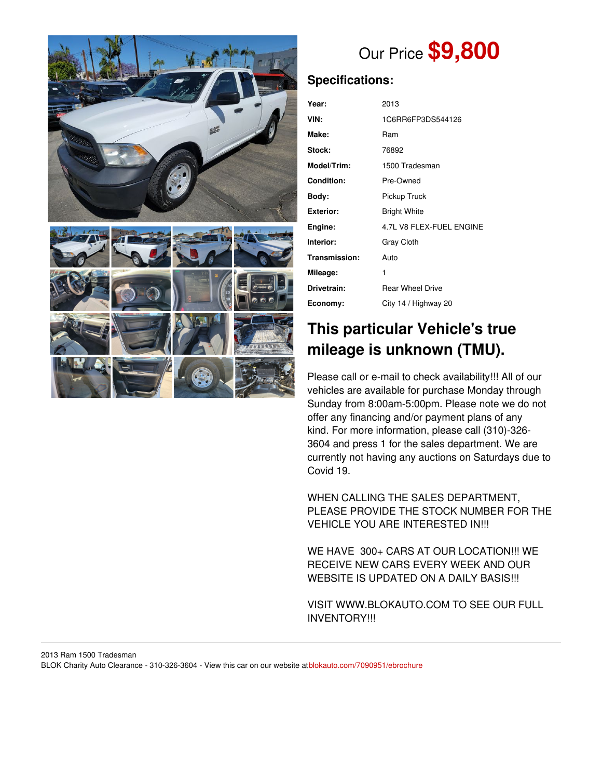

# Our Price **\$9,800**

## **Specifications:**

| Year:             | 2013                     |
|-------------------|--------------------------|
| VIN:              | 1C6RR6FP3DS544126        |
| Make:             | Ram                      |
| Stock:            | 76892                    |
| Model/Trim:       | 1500 Tradesman           |
| <b>Condition:</b> | Pre-Owned                |
| Body:             | Pickup Truck             |
| <b>Exterior:</b>  | <b>Bright White</b>      |
| Engine:           | 4.7L V8 FLEX-FUEL ENGINE |
| Interior:         | <b>Gray Cloth</b>        |
| Transmission:     | Auto                     |
| Mileage:          | 1                        |
| Drivetrain:       | <b>Rear Wheel Drive</b>  |
| Economy:          | City 14 / Highway 20     |

# **This particular Vehicle's true mileage is unknown (TMU).**

Please call or e-mail to check availability!!! All of our vehicles are available for purchase Monday through Sunday from 8:00am-5:00pm. Please note we do not offer any financing and/or payment plans of any kind. For more information, please call (310)-326- 3604 and press 1 for the sales department. We are currently not having any auctions on Saturdays due to Covid 19.

WHEN CALLING THE SALES DEPARTMENT, PLEASE PROVIDE THE STOCK NUMBER FOR THE VEHICLE YOU ARE INTERESTED IN!!!

WE HAVE 300+ CARS AT OUR LOCATION!!! WE RECEIVE NEW CARS EVERY WEEK AND OUR WEBSITE IS UPDATED ON A DAILY BASIS!!!

VISIT WWW.BLOKAUTO.COM TO SEE OUR FULL INVENTORY!!!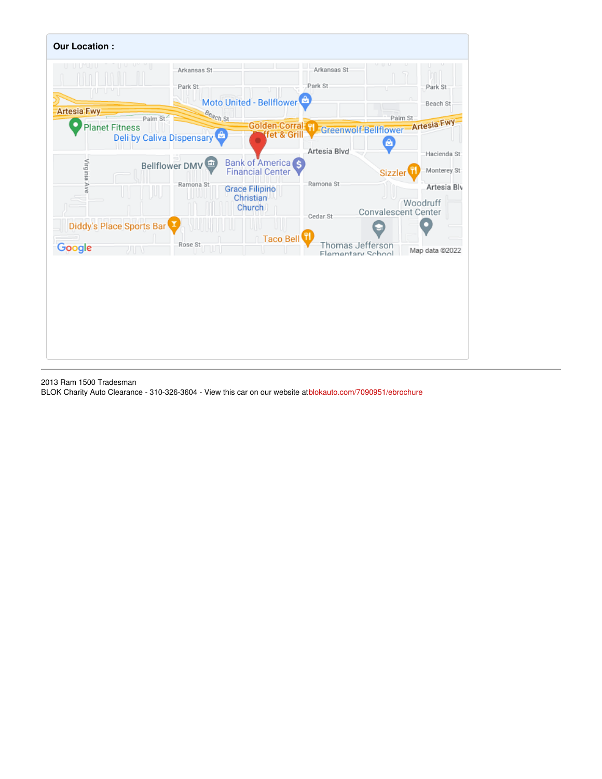

2013 Ram 1500 Tradesman

BLOK Charity Auto Clearance - 310-326-3604 - View this car on our website at[blokauto.com/7090951/ebrochure](https://blokauto.com/vehicle/7090951/2013-ram-1500-tradesman-bellflower-california-90706/7090951/ebrochure)